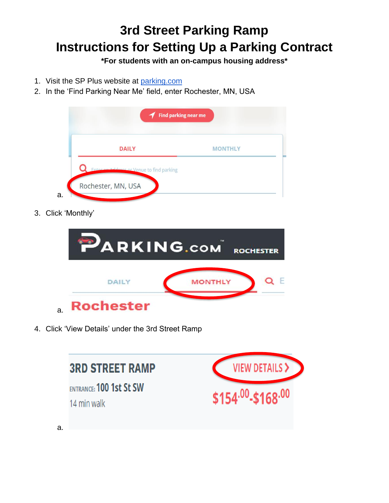## **3rd Street Parking Ramp Instructions for Setting Up a Parking Contract**

**\*For students with an on-campus housing address\***

- 1. Visit the SP Plus website at [parking.com](https://parking.com/)
- 2. In the 'Find Parking Near Me' field, enter Rochester, MN, USA



3. Click 'Monthly'

|    | <b>PARKING.COM</b> |                | <b>ROCHESTER</b> |
|----|--------------------|----------------|------------------|
|    | <b>DAILY</b>       | <b>MONTHLY</b> |                  |
| a. | <b>Rochester</b>   |                |                  |

4. Click 'View Details' under the 3rd Street Ramp